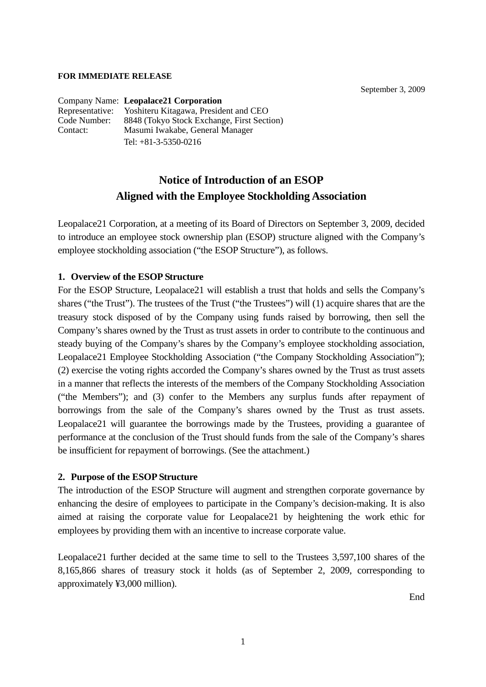#### **FOR IMMEDIATE RELEASE**

September 3, 2009

|                 | Company Name: Leopalace21 Corporation      |
|-----------------|--------------------------------------------|
| Representative: | Yoshiteru Kitagawa, President and CEO      |
| Code Number:    | 8848 (Tokyo Stock Exchange, First Section) |
| Contact:        | Masumi Iwakabe, General Manager            |
|                 | Tel: $+81-3-5350-0216$                     |

# **Notice of Introduction of an ESOP Aligned with the Employee Stockholding Association**

Leopalace21 Corporation, at a meeting of its Board of Directors on September 3, 2009, decided to introduce an employee stock ownership plan (ESOP) structure aligned with the Company's employee stockholding association ("the ESOP Structure"), as follows.

### **1. Overview of the ESOP Structure**

For the ESOP Structure, Leopalace21 will establish a trust that holds and sells the Company's shares ("the Trust"). The trustees of the Trust ("the Trustees") will (1) acquire shares that are the treasury stock disposed of by the Company using funds raised by borrowing, then sell the Company's shares owned by the Trust as trust assets in order to contribute to the continuous and steady buying of the Company's shares by the Company's employee stockholding association, Leopalace21 Employee Stockholding Association ("the Company Stockholding Association"); (2) exercise the voting rights accorded the Company's shares owned by the Trust as trust assets in a manner that reflects the interests of the members of the Company Stockholding Association ("the Members"); and (3) confer to the Members any surplus funds after repayment of borrowings from the sale of the Company's shares owned by the Trust as trust assets. Leopalace21 will guarantee the borrowings made by the Trustees, providing a guarantee of performance at the conclusion of the Trust should funds from the sale of the Company's shares be insufficient for repayment of borrowings. (See the attachment.)

### **2. Purpose of the ESOP Structure**

The introduction of the ESOP Structure will augment and strengthen corporate governance by enhancing the desire of employees to participate in the Company's decision-making. It is also aimed at raising the corporate value for Leopalace21 by heightening the work ethic for employees by providing them with an incentive to increase corporate value.

Leopalace21 further decided at the same time to sell to the Trustees 3,597,100 shares of the 8,165,866 shares of treasury stock it holds (as of September 2, 2009, corresponding to approximately ¥3,000 million).

End